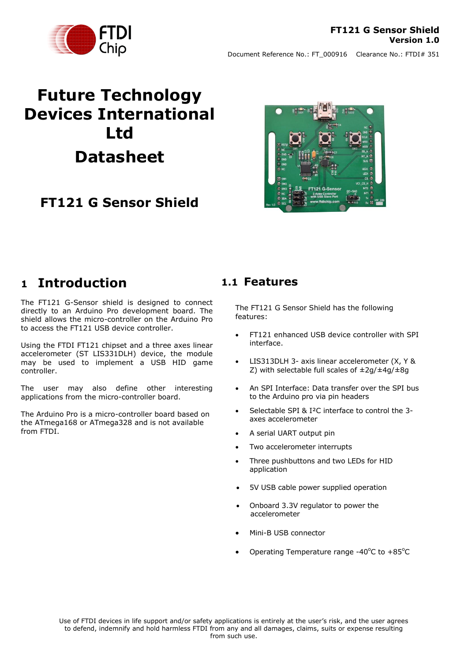

# **Future Technology Devices International Ltd Datasheet**

### **FT121 G Sensor Shield**



### <span id="page-0-0"></span>**1 Introduction**

The FT121 G-Sensor shield is designed to connect directly to an Arduino Pro development board. The shield allows the micro-controller on the Arduino Pro to access the FT121 USB device controller.

Using the FTDI FT121 chipset and a three axes linear accelerometer (ST LIS331DLH) device, the module may be used to implement a USB HID game controller.

The user may also define other interesting applications from the micro-controller board.

The Arduino Pro is a micro-controller board based on the ATmega168 or ATmega328 and is not available from FTDI.

### <span id="page-0-1"></span>**1.1 Features**

The FT121 G Sensor Shield has the following features:

- FT121 enhanced USB device controller with SPI interface.
- LIS313DLH 3- axis linear accelerometer (X, Y & Z) with selectable full scales of  $\pm 2g/\pm 4g/\pm 8g$
- An SPI Interface: Data transfer over the SPI bus to the Arduino pro via pin headers
- Selectable SPI & I<sup>2</sup>C interface to control the 3axes accelerometer
- A serial UART output pin
- Two accelerometer interrupts
- Three pushbuttons and two LEDs for HID application
- 5V USB cable power supplied operation
- Onboard 3.3V regulator to power the accelerometer
- Mini-B USB connector
- Operating Temperature range -40 $^{\circ}$ C to +85 $^{\circ}$ C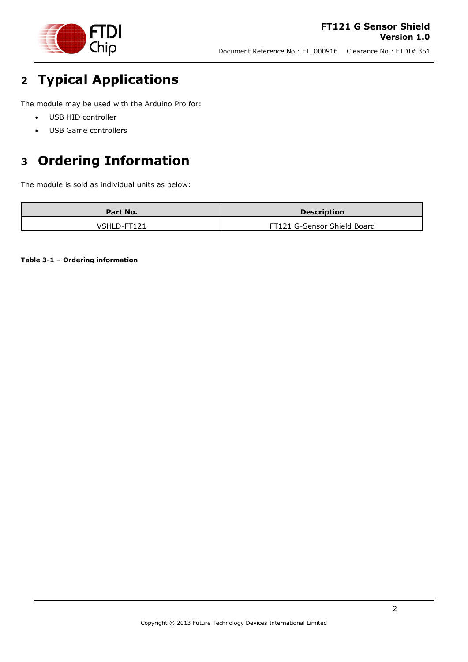

# <span id="page-1-0"></span>**2 Typical Applications**

The module may be used with the Arduino Pro for:

- USB HID controller
- USB Game controllers

# <span id="page-1-1"></span>**3 Ordering Information**

The module is sold as individual units as below:

| Part No.    | <b>Description</b>          |
|-------------|-----------------------------|
| VSHLD-FT121 | FT121 G-Sensor Shield Board |

<span id="page-1-2"></span>**Table 3-1 – Ordering information**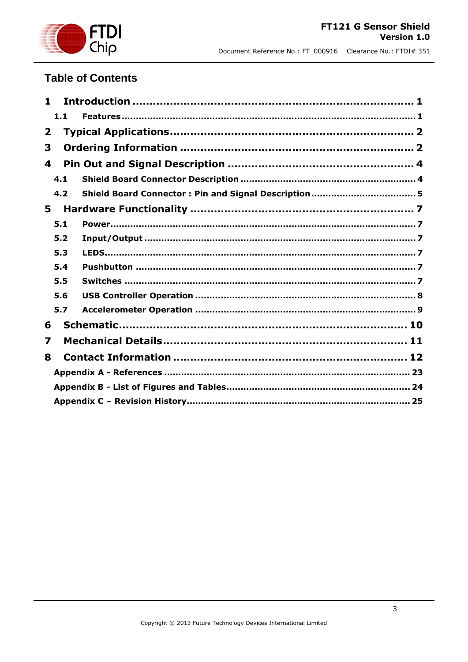

### **Table of Contents**

|              | 1.1 |  |
|--------------|-----|--|
| $\mathbf{z}$ |     |  |
| 3            |     |  |
| 4            |     |  |
|              | 4.1 |  |
|              | 4.2 |  |
| 5.           |     |  |
|              | 5.1 |  |
|              | 5.2 |  |
|              | 5.3 |  |
|              | 5.4 |  |
|              | 5.5 |  |
|              | 5.6 |  |
|              | 5.7 |  |
| 6            |     |  |
| 7            |     |  |
| 8            |     |  |
|              |     |  |
|              |     |  |
|              |     |  |
|              |     |  |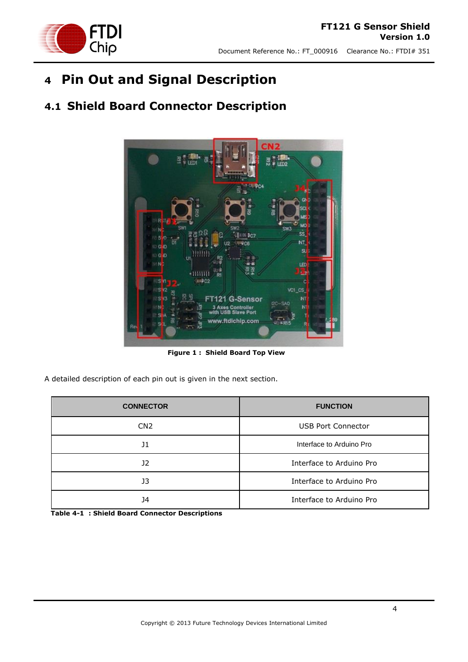**FTDI**<br>Chip

Document Reference No.: FT\_000916 Clearance No.: FTDI# 351

# <span id="page-3-0"></span>**4 Pin Out and Signal Description**

<span id="page-3-1"></span>**4.1 Shield Board Connector Description**

# $8.3<sub>0</sub>$ NП LED C<sub>1</sub> CS **Sensor** ww.ftdichip.com

**Figure 1 : Shield Board Top View**

<span id="page-3-2"></span>A detailed description of each pin out is given in the next section.

| <b>CONNECTOR</b> | <b>FUNCTION</b>           |
|------------------|---------------------------|
| CN <sub>2</sub>  | <b>USB Port Connector</b> |
| J1               | Interface to Arduino Pro  |
| J2               | Interface to Arduino Pro  |
| J3               | Interface to Arduino Pro  |
| 34               | Interface to Arduino Pro  |

<span id="page-3-3"></span>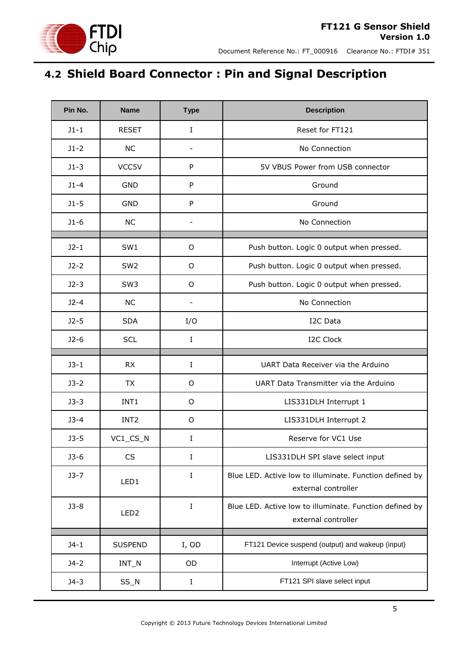

# <span id="page-4-0"></span>**4.2 Shield Board Connector : Pin and Signal Description**

| Pin No.  | <b>Name</b>      | <b>Type</b>              | <b>Description</b>                                                             |
|----------|------------------|--------------------------|--------------------------------------------------------------------------------|
| $J1-1$   | <b>RESET</b>     | $\bf{I}$                 | Reset for FT121                                                                |
| $J1-2$   | <b>NC</b>        | $\overline{\phantom{a}}$ | No Connection                                                                  |
| $J1-3$   | VCC5V            | P                        | 5V VBUS Power from USB connector                                               |
| $J1 - 4$ | <b>GND</b>       | P                        | Ground                                                                         |
| $J1-5$   | <b>GND</b>       | ${\sf P}$                | Ground                                                                         |
| $J1-6$   | <b>NC</b>        |                          | No Connection                                                                  |
| $J2-1$   | SW1              | O                        | Push button. Logic 0 output when pressed.                                      |
| $J2-2$   | SW <sub>2</sub>  | O                        | Push button. Logic 0 output when pressed.                                      |
| $J2-3$   | SW <sub>3</sub>  | $\circ$                  | Push button. Logic 0 output when pressed.                                      |
| $J2-4$   | <b>NC</b>        | $\overline{\phantom{0}}$ | No Connection                                                                  |
| $J2-5$   | <b>SDA</b>       | I/O                      | I2C Data                                                                       |
| $J2-6$   | <b>SCL</b>       | $\bf{I}$                 | <b>I2C Clock</b>                                                               |
| $J3-1$   | <b>RX</b>        | $\mathbf I$              | UART Data Receiver via the Arduino                                             |
| $J3-2$   | <b>TX</b>        | $\circ$                  | UART Data Transmitter via the Arduino                                          |
| $J3-3$   | INT1             | O                        | LIS331DLH Interrupt 1                                                          |
| $J3-4$   | INT <sub>2</sub> | $\circ$                  | LIS331DLH Interrupt 2                                                          |
| $J3-5$   | VC1_CS_N         | Ι                        | Reserve for VC1 Use                                                            |
| $J3-6$   | CS               | I                        | LIS331DLH SPI slave select input                                               |
| $J3-7$   |                  | $\bf I$                  | Blue LED. Active low to illuminate. Function defined by                        |
|          | LED1             |                          | external controller                                                            |
| $J3-8$   | LED <sub>2</sub> | I                        | Blue LED. Active low to illuminate. Function defined by<br>external controller |
| $J4-1$   | <b>SUSPEND</b>   | I, OD                    | FT121 Device suspend (output) and wakeup (input)                               |
| $J4-2$   | $INT_N$          | OD                       | Interrupt (Active Low)                                                         |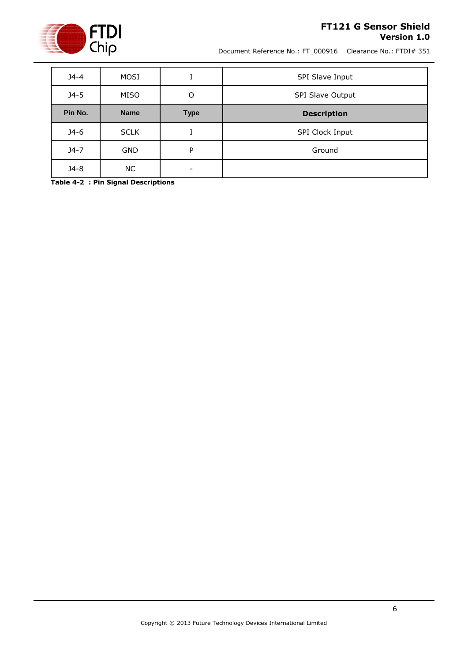

#### **FT121 G Sensor Shield Version 1.0**

Document Reference No.: FT\_000916 Clearance No.: FTDI# 351

| $J4 - 4$ | MOSI        |             | SPI Slave Input    |
|----------|-------------|-------------|--------------------|
| $34 - 5$ | MISO        | O           | SPI Slave Output   |
| Pin No.  | <b>Name</b> | <b>Type</b> | <b>Description</b> |
| $J4-6$   | <b>SCLK</b> |             | SPI Clock Input    |
|          |             |             |                    |
| $J4-7$   | <b>GND</b>  | P           | Ground             |

<span id="page-5-0"></span>**Table 4-2 : Pin Signal Descriptions**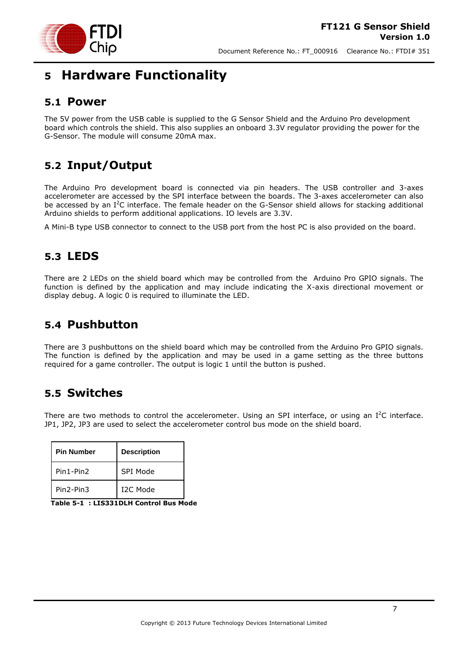

## <span id="page-6-0"></span>**5 Hardware Functionality**

### <span id="page-6-1"></span>**5.1 Power**

The 5V power from the USB cable is supplied to the G Sensor Shield and the Arduino Pro development board which controls the shield. This also supplies an onboard 3.3V regulator providing the power for the G-Sensor. The module will consume 20mA max.

### <span id="page-6-2"></span>**5.2 Input/Output**

The Arduino Pro development board is connected via pin headers. The USB controller and 3-axes accelerometer are accessed by the SPI interface between the boards. The 3-axes accelerometer can also be accessed by an I<sup>2</sup>C interface. The female header on the G-Sensor shield allows for stacking additional Arduino shields to perform additional applications. IO levels are 3.3V.

A Mini-B type USB connector to connect to the USB port from the host PC is also provided on the board.

### <span id="page-6-3"></span>**5.3 LEDS**

There are 2 LEDs on the shield board which may be controlled from the Arduino Pro GPIO signals. The function is defined by the application and may include indicating the X-axis directional movement or display debug. A logic 0 is required to illuminate the LED.

### <span id="page-6-4"></span>**5.4 Pushbutton**

There are 3 pushbuttons on the shield board which may be controlled from the Arduino Pro GPIO signals. The function is defined by the application and may be used in a game setting as the three buttons required for a game controller. The output is logic 1 until the button is pushed.

### <span id="page-6-5"></span>**5.5 Switches**

There are two methods to control the accelerometer. Using an SPI interface, or using an  $I^2C$  interface. JP1, JP2, JP3 are used to select the accelerometer control bus mode on the shield board.

| <b>Pin Number</b> | <b>Description</b>    |
|-------------------|-----------------------|
| Pin1-Pin2         | SPI Mode              |
| Pin2-Pin3         | T <sub>2</sub> C Mode |

<span id="page-6-6"></span>

|--|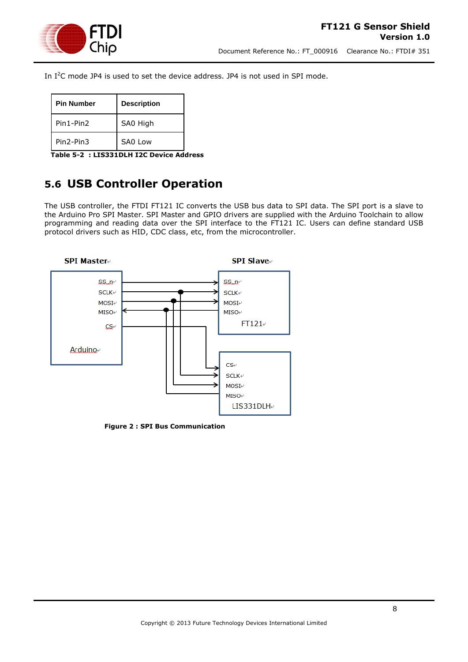

In I<sup>2</sup>C mode JP4 is used to set the device address. JP4 is not used in SPI mode.

| <b>Pin Number</b>                  | <b>Description</b> |
|------------------------------------|--------------------|
| Pin1-Pin2                          | SA0 High           |
| Pin <sub>2</sub> -Pin <sub>3</sub> | SAO Low            |

<span id="page-7-2"></span>**Table 5-2 : LIS331DLH I2C Device Address**

### <span id="page-7-0"></span>**5.6 USB Controller Operation**

The USB controller, the FTDI FT121 IC converts the USB bus data to SPI data. The SPI port is a slave to the Arduino Pro SPI Master. SPI Master and GPIO drivers are supplied with the Arduino Toolchain to allow programming and reading data over the SPI interface to the FT121 IC. Users can define standard USB protocol drivers such as HID, CDC class, etc, from the microcontroller.



<span id="page-7-1"></span>**Figure 2 : SPI Bus Communication**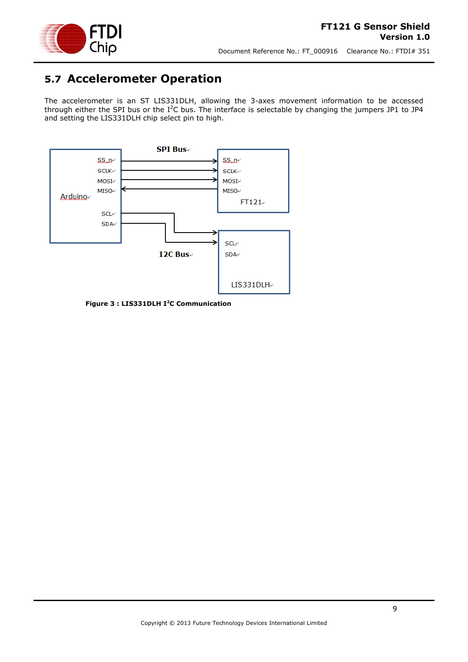

### <span id="page-8-0"></span>**5.7 Accelerometer Operation**

The accelerometer is an ST LIS331DLH, allowing the 3-axes movement information to be accessed through either the SPI bus or the  $I^2C$  bus. The interface is selectable by changing the jumpers JP1 to JP4 and setting the LIS331DLH chip select pin to high.



<span id="page-8-1"></span>**Figure 3 : LIS331DLH I<sup>2</sup>C Communication**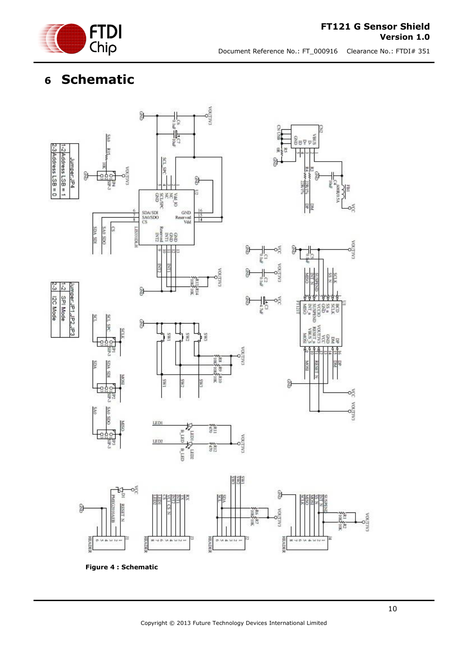

#### **FT121 G Sensor Shield Version 1.0**

Document Reference No.: FT\_000916 Clearance No.: FTDI# 351

# <span id="page-9-0"></span>**6 Schematic**



<span id="page-9-1"></span>**Figure 4 : Schematic**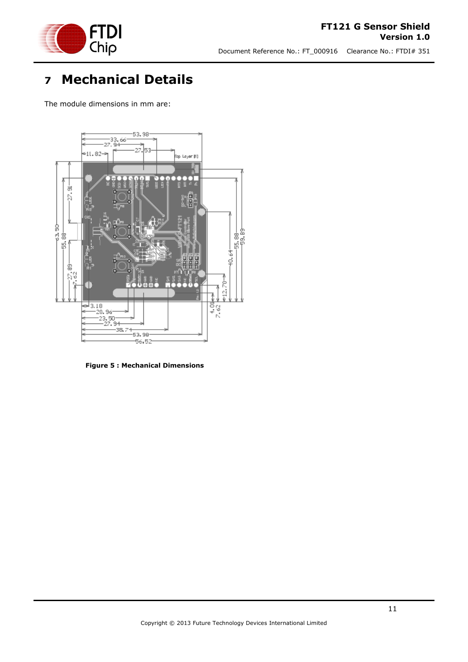

#### **FT121 G Sensor Shield Version 1.0**

Document Reference No.: FT\_000916 Clearance No.: FTDI# 351

# <span id="page-10-0"></span>**7 Mechanical Details**

The module dimensions in mm are:



<span id="page-10-1"></span>**Figure 5 : Mechanical Dimensions**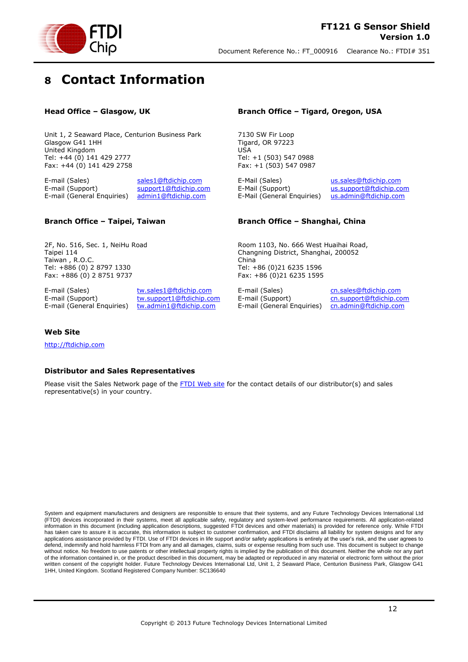

# <span id="page-11-0"></span>**8 Contact Information**

#### **Head Office – Glasgow, UK**

Unit 1, 2 Seaward Place, Centurion Business Park Glasgow G41 1HH United Kingdom Tel: +44 (0) 141 429 2777 Fax: +44 (0) 141 429 2758

E-mail (Sales) [sales1@ftdichip.com](mailto:sales1@ftdichip.com) E-mail (Support) [support1@ftdichip.com](mailto:support1@ftdichip.com) E-mail (General Enquiries) [admin1@ftdichip.com](mailto:admin1@ftdichip.com)

#### **Branch Office – Taipei, Taiwan**

2F, No. 516, Sec. 1, NeiHu Road Taipei 114 Taiwan , R.O.C. Tel: +886 (0) 2 8797 1330 Fax: +886 (0) 2 8751 9737

E-mail (Sales) [tw.sales1@ftdichip.com](mailto:tw.sales1@ftdichip.com) E-mail (General Enquiries) [tw.admin1@ftdichip.com](mailto:tw.admin1@ftdichip.com)

E-mail (Support) [tw.support1@ftdichip.com](mailto:tw.support1@ftdichip.com)

#### **Branch Office – Tigard, Oregon, USA**

7130 SW Fir Loop Tigard, OR 97223 USA Tel: +1 (503) 547 0988 Fax: +1 (503) 547 0987

E-Mail (Support) [us.support@ftdichip.com](mailto:us.support@ftdichip.com) E-Mail (General Enquiries) [us.admin@ftdichip.com](mailto:us.admin@ftdichip.com)

E-Mail (Sales) [us.sales@ftdichip.com](mailto:us.sales@ftdichip.com)

#### **Branch Office – Shanghai, China**

Room 1103, No. 666 West Huaihai Road, Changning District, Shanghai, 200052 China Tel: +86 (0)21 6235 1596 Fax: +86 (0)21 6235 1595

E-mail (Sales) [cn.sales@ftdichip.com](mailto:cn.sales@ftdichip.com) E-mail (Support) [cn.support@ftdichip.com](mailto:cn.support@ftdichip.com) E-mail (General Enquiries) [cn.admin@ftdichip.com](mailto:cn.admin@ftdichip.com)

#### **Web Site**

[http://ftdichip.com](http://ftdichip.com/)

#### **Distributor and Sales Representatives**

Please visit the Sales Network page of the [FTDI Web site](http://ftdichip.com/FTSalesNetwork.htm) for the contact details of our distributor(s) and sales representative(s) in your country.

System and equipment manufacturers and designers are responsible to ensure that their systems, and any Future Technology Devices International Ltd (FTDI) devices incorporated in their systems, meet all applicable safety, regulatory and system-level performance requirements. All application-related information in this document (including application descriptions, suggested FTDI devices and other materials) is provided for reference only. While FTDI has taken care to assure it is accurate, this information is subject to customer confirmation, and FTDI disclaims all liability for system designs and for any applications assistance provided by FTDI. Use of FTDI devices in life support and/or safety applications is entirely at the user's risk, and the user agrees to applications assistance provided by FTDI. Use of FTDI devices defend, indemnify and hold harmless FTDI from any and all damages, claims, suits or expense resulting from such use. This document is subject to change without notice. No freedom to use patents or other intellectual property rights is implied by the publication of this document. Neither the whole nor any part of the information contained in, or the product described in this document, may be adapted or reproduced in any material or electronic form without the prior written consent of the copyright holder. Future Technology Devices International Ltd, Unit 1, 2 Seaward Place, Centurion Business Park, Glasgow G41 1HH, United Kingdom. Scotland Registered Company Number: SC136640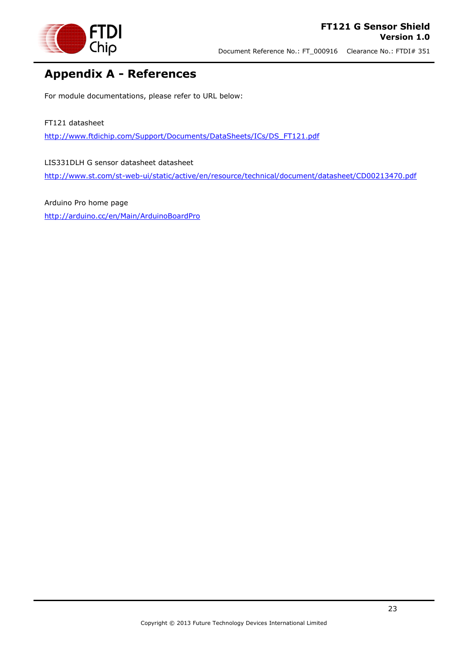

### <span id="page-12-0"></span>**Appendix A - References**

For module documentations, please refer to URL below:

#### FT121 datasheet

[http://www.ftdichip.com/Support/Documents/DataSheets/ICs/DS\\_FT121.pdf](http://www.ftdichip.com/Support/Documents/DataSheets/ICs/DS_FT121.pdf)

LIS331DLH G sensor datasheet datasheet <http://www.st.com/st-web-ui/static/active/en/resource/technical/document/datasheet/CD00213470.pdf>

Arduino Pro home page <http://arduino.cc/en/Main/ArduinoBoardPro>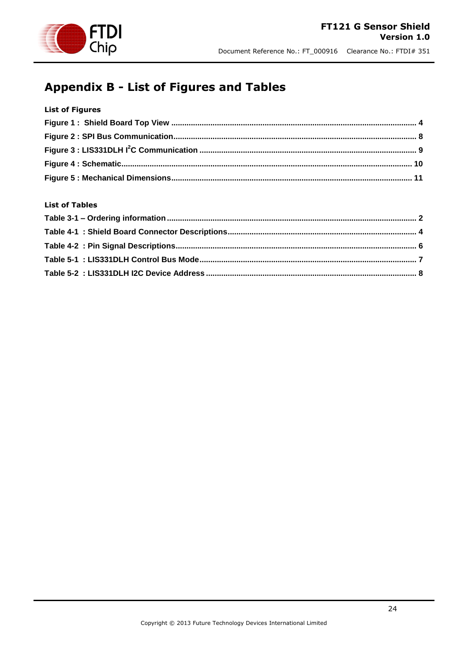

### <span id="page-13-0"></span>**Appendix B - List of Figures and Tables**

#### **List of Figures**

#### **List of Tables**